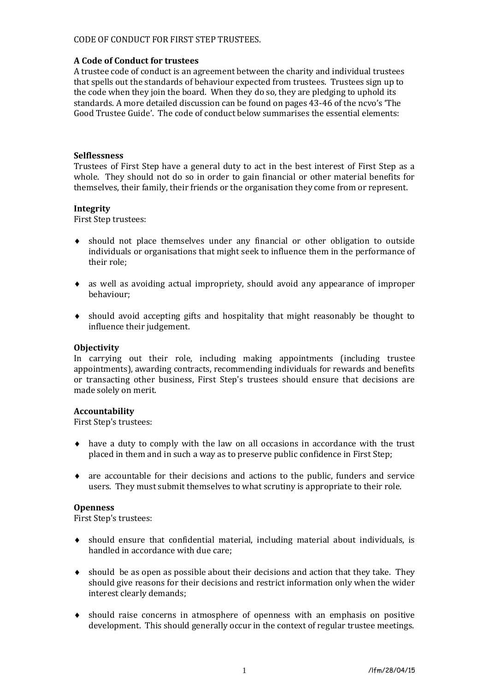## CODE OF CONDUCT FOR FIRST STEP TRUSTEES.

## **A Code of Conduct for trustees**

A trustee code of conduct is an agreement between the charity and individual trustees that spells out the standards of behaviour expected from trustees. Trustees sign up to the code when they join the board. When they do so, they are pledging to uphold its standards. A more detailed discussion can be found on pages 43-46 of the ncvo's 'The Good Trustee Guide'. The code of conduct below summarises the essential elements:

## **Selflessness**

Trustees of First Step have a general duty to act in the best interest of First Step as a whole. They should not do so in order to gain financial or other material benefits for themselves, their family, their friends or the organisation they come from or represent.

#### **Integrity**

First Step trustees:

- should not place themselves under any financial or other obligation to outside individuals or organisations that might seek to influence them in the performance of their role;
- as well as avoiding actual impropriety, should avoid any appearance of improper behaviour;
- should avoid accepting gifts and hospitality that might reasonably be thought to influence their judgement.

### **Objectivity**

In carrying out their role, including making appointments (including trustee appointments), awarding contracts, recommending individuals for rewards and benefits or transacting other business, First Step's trustees should ensure that decisions are made solely on merit.

#### **Accountability**

First Step's trustees:

- have a duty to comply with the law on all occasions in accordance with the trust placed in them and in such a way as to preserve public confidence in First Step;
- are accountable for their decisions and actions to the public, funders and service users. They must submit themselves to what scrutiny is appropriate to their role.

#### **Openness**

First Step's trustees:

- should ensure that confidential material, including material about individuals, is handled in accordance with due care;
- $\bullet$  should be as open as possible about their decisions and action that they take. They should give reasons for their decisions and restrict information only when the wider interest clearly demands;
- should raise concerns in atmosphere of openness with an emphasis on positive development. This should generally occur in the context of regular trustee meetings.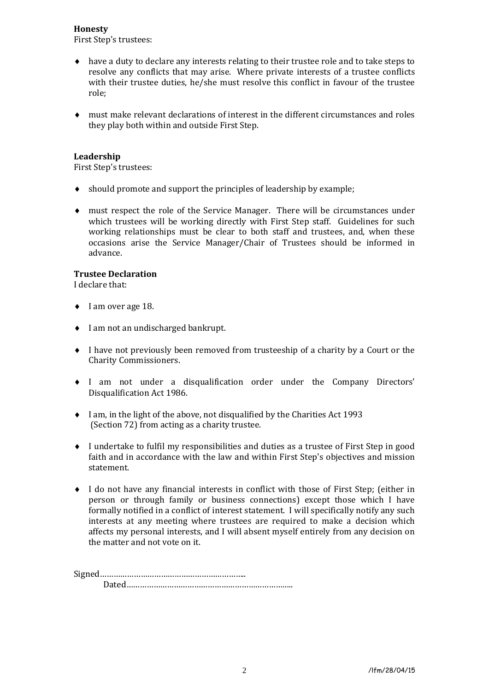### **Honesty**

First Step's trustees:

- have a duty to declare any interests relating to their trustee role and to take steps to resolve any conflicts that may arise. Where private interests of a trustee conflicts with their trustee duties, he/she must resolve this conflict in favour of the trustee role;
- must make relevant declarations of interest in the different circumstances and roles they play both within and outside First Step.

# **Leadership**

First Step's trustees:

- should promote and support the principles of leadership by example;
- must respect the role of the Service Manager. There will be circumstances under which trustees will be working directly with First Step staff. Guidelines for such working relationships must be clear to both staff and trustees, and, when these occasions arise the Service Manager/Chair of Trustees should be informed in advance.

# **Trustee Declaration**

I declare that:

- $\bullet$  I am over age 18.
- ◆ I am not an undischarged bankrupt.
- I have not previously been removed from trusteeship of a charity by a Court or the Charity Commissioners.
- I am not under a disqualification order under the Company Directors' Disqualification Act 1986.
- I am, in the light of the above, not disqualified by the Charities Act 1993 (Section 72) from acting as a charity trustee.
- I undertake to fulfil my responsibilities and duties as a trustee of First Step in good faith and in accordance with the law and within First Step's objectives and mission statement.
- I do not have any financial interests in conflict with those of First Step; (either in person or through family or business connections) except those which I have formally notified in a conflict of interest statement. I will specifically notify any such interests at any meeting where trustees are required to make a decision which affects my personal interests, and I will absent myself entirely from any decision on the matter and not vote on it.

Signed……………………………………………………….. Dated………………………………………………………………..